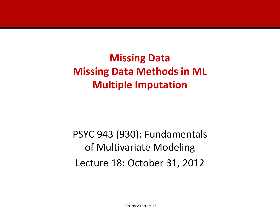**Missing Data Missing Data Methods in ML Multiple Imputation**

PSYC 943 (930): Fundamentals of Multivariate Modeling Lecture 18: October 31, 2012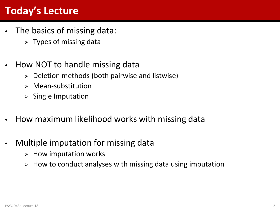# **Today's Lecture**

- The basics of missing data:
	- $\triangleright$  Types of missing data
- How NOT to handle missing data
	- $\triangleright$  Deletion methods (both pairwise and listwise)
	- $\triangleright$  Mean-substitution
	- $\triangleright$  Single Imputation
- How maximum likelihood works with missing data
- Multiple imputation for missing data
	- $\triangleright$  How imputation works
	- $\triangleright$  How to conduct analyses with missing data using imputation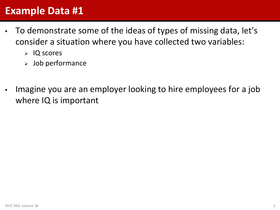### **Example Data #1**

- To demonstrate some of the ideas of types of missing data, let's consider a situation where you have collected two variables:
	- $>$  IQ scores
	- $>$  Job performance
- Imagine you are an employer looking to hire employees for a job where IQ is important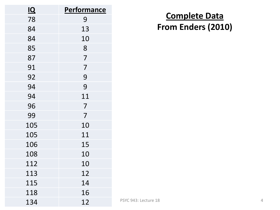| $\overline{1Q}$ | <b>Performance</b> |
|-----------------|--------------------|
| 78              | 9                  |
| 84              | 13                 |
| 84              | 10                 |
| 85              | 8                  |
| 87              | $\overline{7}$     |
| 91              | $\overline{7}$     |
| 92              | 9                  |
| 94              | 9                  |
| 94              | 11                 |
| 96              | $\overline{7}$     |
| 99              | $\overline{7}$     |
| 105             | 10                 |
| 105             | 11                 |
| 106             | 15                 |
| 108             | 10                 |
| 112             | 10                 |
| 113             | 12                 |
| 115             | 14                 |
| 118             | 16                 |
| 134             | 12                 |

### **Complete Data From Enders (2010)**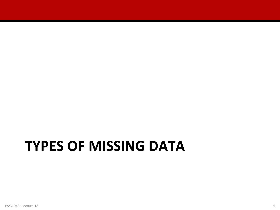# **TYPES OF MISSING DATA**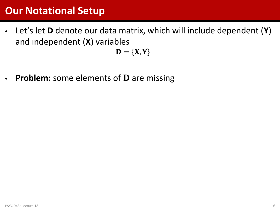### **Our Notational Setup**

• Let's let **D** denote our data matrix, which will include dependent (**Y**) and independent (**X**) variables

 $D = {X, Y}$ 

**Problem:** some elements of **D** are missing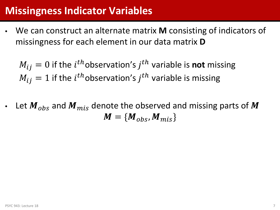### **Missingness Indicator Variables**

• We can construct an alternate matrix **M** consisting of indicators of missingness for each element in our data matrix **D**

 $M_{ij} = 0$  if the  $i^{th}$  observation's  $j^{th}$  variable is **not** missing  $M_{ij} = 1$  if the  $i^{th}$ observation's  $j^{th}$  variable is missing

Let  $\mathbf{M}_{obs}$  and  $\mathbf{M}_{mis}$  denote the observed and missing parts of M  $M = \{ M_{obs}, M_{mis} \}$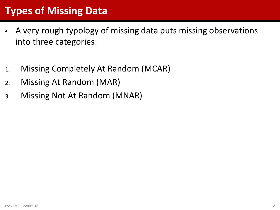# **Types of Missing Data**

- A very rough typology of missing data puts missing observations into three categories:
- 1. Missing Completely At Random (MCAR)
- 2. Missing At Random (MAR)
- 3. Missing Not At Random (MNAR)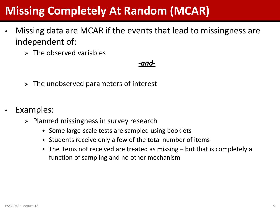# **Missing Completely At Random (MCAR)**

- Missing data are MCAR if the events that lead to missingness are independent of:
	- $\triangleright$  The observed variables

### *-and-*

- $\triangleright$  The unobserved parameters of interest
- Examples:
	- $\triangleright$  Planned missingness in survey research
		- Some large-scale tests are sampled using booklets
		- Students receive only a few of the total number of items
		- $\bullet$  The items not received are treated as missing  $-$  but that is completely a function of sampling and no other mechanism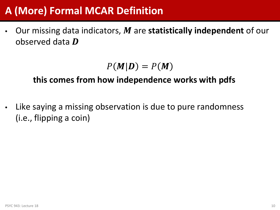# **A (More) Formal MCAR Definition**

Our missing data indicators, M are statistically independent of our observed data  $\bm{D}$ 

 $P(M|D) = P(M)$ 

### **this comes from how independence works with pdfs**

Like saying a missing observation is due to pure randomness (i.e., flipping a coin)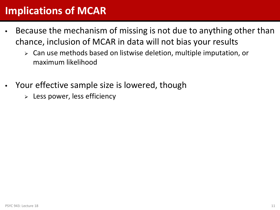## **Implications of MCAR**

- Because the mechanism of missing is not due to anything other than chance, inclusion of MCAR in data will not bias your results
	- Can use methods based on listwise deletion, multiple imputation, or maximum likelihood
- Your effective sample size is lowered, though
	- $\triangleright$  Less power, less efficiency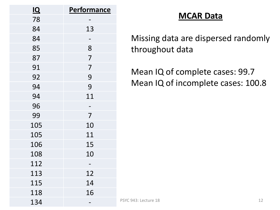| $\overline{1Q}$ | <b>Performance</b> |
|-----------------|--------------------|
| 78              |                    |
| 84              | 13                 |
| 84              |                    |
| 85              | 8                  |
| 87              | $\overline{7}$     |
| 91              | $\overline{7}$     |
| 92              | 9                  |
| 94              | 9                  |
| 94              | 11                 |
| 96              |                    |
| 99              | $\overline{7}$     |
| 105             | 10                 |
| 105             | 11                 |
| 106             | 15                 |
| 108             | 10                 |
| 112             |                    |
| 113             | 12                 |
| 115             | 14                 |
| 118             | 16                 |
| 134             |                    |

### **MCAR Data**

Missing data are dispersed randomly throughout data

Mean IQ of complete cases: 99.7 Mean IQ of incomplete cases: 100.8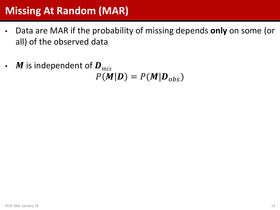## **Missing At Random (MAR)**

- Data are MAR if the probability of missing depends **only** on some (or all) of the observed data
- $\bm{M}$  is independent of  $\bm{D}_{mis}$  $P(M|D) = P(M|D_{obs})$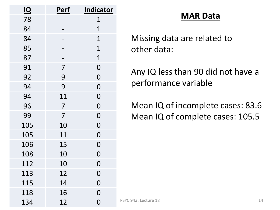| <u>IQ</u> | <u>Perf</u>    | <b>Indicator</b> |
|-----------|----------------|------------------|
| 78        |                | 1                |
| 84        |                | $\overline{1}$   |
| 84        |                | $\overline{1}$   |
| 85        |                | $\overline{1}$   |
| 87        |                | $\overline{1}$   |
| 91        | $\overline{7}$ | $\overline{0}$   |
| 92        | 9              | $\overline{0}$   |
| 94        | 9              | $\overline{0}$   |
| 94        | 11             | $\overline{0}$   |
| 96        | $\overline{7}$ | $\overline{0}$   |
| 99        | $\overline{7}$ | $\overline{0}$   |
| 105       | 10             | $\overline{0}$   |
| 105       | 11             | $\overline{0}$   |
| 106       | 15             | $\overline{0}$   |
| 108       | 10             | $\overline{0}$   |
| 112       | 10             | $\overline{0}$   |
| 113       | 12             | $\overline{0}$   |
| 115       | 14             | $\overline{0}$   |
| 118       | 16             | $\overline{0}$   |
| 134       | 12             | $\overline{0}$   |

### **MAR Data**

Missing data are related to other data:

Any IQ less than 90 did not have a performance variable

Mean IQ of incomplete cases: 83.6 Mean IQ of complete cases: 105.5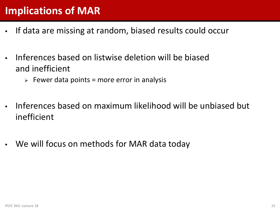## **Implications of MAR**

- If data are missing at random, biased results could occur
- Inferences based on listwise deletion will be biased and inefficient
	- $\triangleright$  Fewer data points = more error in analysis
- Inferences based on maximum likelihood will be unbiased but inefficient
- We will focus on methods for MAR data today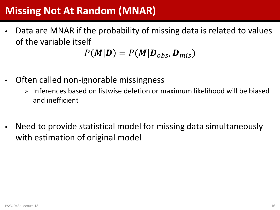# **Missing Not At Random (MNAR)**

• Data are MNAR if the probability of missing data is related to values of the variable itself

$$
P(\mathbf{M}|\mathbf{D}) = P(\mathbf{M}|\mathbf{D}_{obs}, \mathbf{D}_{mis})
$$

- Often called non-ignorable missingness
	- $\triangleright$  Inferences based on listwise deletion or maximum likelihood will be biased and inefficient
- Need to provide statistical model for missing data simultaneously with estimation of original model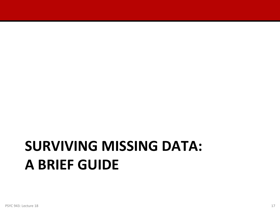# **SURVIVING MISSING DATA: A BRIEF GUIDE**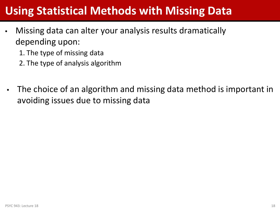# **Using Statistical Methods with Missing Data**

- Missing data can alter your analysis results dramatically depending upon:
	- 1. The type of missing data
	- 2. The type of analysis algorithm
- The choice of an algorithm and missing data method is important in avoiding issues due to missing data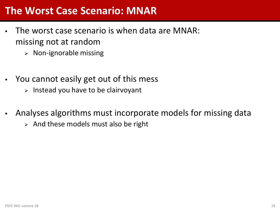### **The Worst Case Scenario: MNAR**

- The worst case scenario is when data are MNAR: missing not at random
	- $\triangleright$  Non-ignorable missing
- You cannot easily get out of this mess
	- $\triangleright$  Instead you have to be clairvoyant
- Analyses algorithms must incorporate models for missing data
	- $\triangleright$  And these models must also be right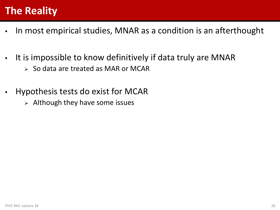# **The Reality**

- In most empirical studies, MNAR as a condition is an afterthought
- It is impossible to know definitively if data truly are MNAR
	- $>$  So data are treated as MAR or MCAR
- Hypothesis tests do exist for MCAR
	- $\triangleright$  Although they have some issues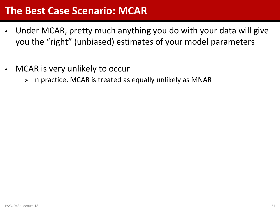### **The Best Case Scenario: MCAR**

- Under MCAR, pretty much anything you do with your data will give you the "right" (unbiased) estimates of your model parameters
- MCAR is very unlikely to occur
	- $\triangleright$  In practice, MCAR is treated as equally unlikely as MNAR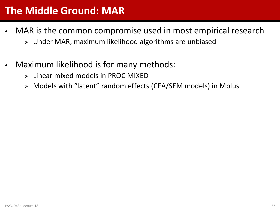## **The Middle Ground: MAR**

- MAR is the common compromise used in most empirical research
	- Under MAR, maximum likelihood algorithms are unbiased
- Maximum likelihood is for many methods:
	- $\triangleright$  Linear mixed models in PROC MIXED
	- Models with "latent" random effects (CFA/SEM models) in Mplus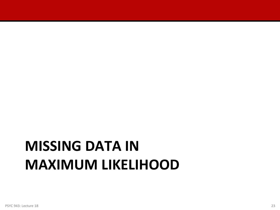# **MISSING DATA IN MAXIMUM LIKELIHOOD**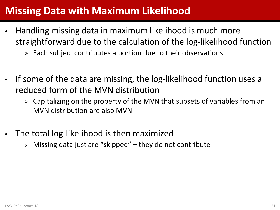## **Missing Data with Maximum Likelihood**

- Handling missing data in maximum likelihood is much more straightforward due to the calculation of the log-likelihood function
	- $\triangleright$  Each subject contributes a portion due to their observations
- If some of the data are missing, the log-likelihood function uses a reduced form of the MVN distribution
	- $\triangleright$  Capitalizing on the property of the MVN that subsets of variables from an MVN distribution are also MVN
- The total log-likelihood is then maximized
	- $\triangleright$  Missing data just are "skipped" they do not contribute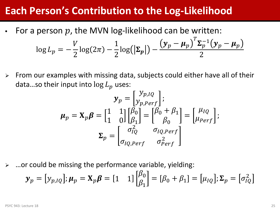### **Each Person's Contribution to the Log-Likelihood**

For a person  $p$ , the MVN log-likelihood can be written:

$$
\log L_p = -\frac{V}{2}\log(2\pi) - \frac{1}{2}\log(|\Sigma_p|) - \frac{(y_p - \mu_p)^T \Sigma_p^{-1}(y_p - \mu_p)}{2}
$$

 $\triangleright$  From our examples with missing data, subjects could either have all of their data...so their input into  $\log L_n$  uses:

$$
\mathbf{y}_p = \begin{bmatrix} y_{p,IQ} \\ y_{p,Perf} \end{bmatrix};
$$

$$
\boldsymbol{\mu}_p = \mathbf{X}_p \boldsymbol{\beta} = \begin{bmatrix} 1 & 1 \\ 1 & 0 \end{bmatrix} \begin{bmatrix} \beta_0 \\ \beta_1 \end{bmatrix} = \begin{bmatrix} \beta_0 + \beta_1 \\ \beta_0 \end{bmatrix} = \begin{bmatrix} \mu_{IQ} \\ \mu_{Perf} \end{bmatrix};
$$

$$
\boldsymbol{\Sigma}_p = \begin{bmatrix} \sigma_{IQ}^2 & \sigma_{IQ,Perf} \\ \sigma_{IQ,Perf} & \sigma_{Perf}^2 \end{bmatrix}
$$

 $\triangleright$  ... or could be missing the performance variable, yielding:

$$
\mathbf{y}_p = [y_{p,IQ}]; \boldsymbol{\mu}_p = \mathbf{X}_p \boldsymbol{\beta} = \begin{bmatrix} 1 & 1 \end{bmatrix} \begin{bmatrix} \beta_0 \\ \beta_1 \end{bmatrix} = [\beta_0 + \beta_1] = [\mu_{IQ}]; \boldsymbol{\Sigma}_p = [\sigma_{IQ}^2]
$$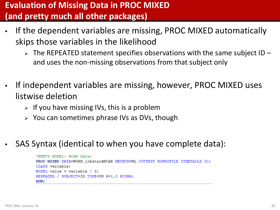### **Evaluation of Missing Data in PROC MIXED (and pretty much all other packages)**

- If the dependent variables are missing, PROC MIXED automatically skips those variables in the likelihood
	- $\triangleright$  The REPEATED statement specifies observations with the same subject ID and uses the non-missing observations from that subject only
- If independent variables are missing, however, PROC MIXED uses listwise deletion
	- $\triangleright$  If you have missing IVs, this is a problem
	- $\triangleright$  You can sometimes phrase IVs as DVs, though
- SAS Syntax (identical to when you have complete data):

```
*EMPTY MODEL: MCAR Data:
PROC MIXED DATA=WORK.jobstackMCAR METHOD=ML COVTEST NOPROFILE ITDETAILS IC;
CLASS variable:
MODEL value = variable / S;
REPEATED / SUBJECT=ID TYPE=UN R=1,2 RCORR;
RUN:
```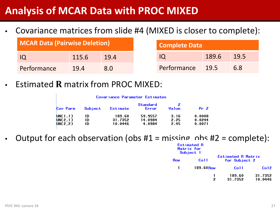### **Analysis of MCAR Data with PROC MIXED**

• Covariance matrices from slide #4 (MIXED is closer to complete):

| MCAR Data (Pairwise Deletion) |       | <b>Complete Data</b> |                  |       |      |
|-------------------------------|-------|----------------------|------------------|-------|------|
|                               | 115.6 | 19.4                 |                  | 189.6 | 19.5 |
| Performance                   | 19.4  | 8.N                  | Performance 19.5 |       | 6.8  |

**Estimated R matrix from PROC MIXED:** 

|                                | Covariance Parameter Estimates |                              |                              |                      |                            |
|--------------------------------|--------------------------------|------------------------------|------------------------------|----------------------|----------------------------|
| Cov Parm                       | Subject                        | Estimate                     | Standard<br>Error            | Value                | Pr <sub>2</sub>            |
| UN(1,1)<br>UN(2,1)<br>UN(2, 2) | ID<br>ID<br>ID                 | 189.60<br>31.7352<br>10.0446 | 59.9557<br>14.0984<br>4.0984 | 3.16<br>2.25<br>2.45 | 0.0008<br>0.0244<br>0.0071 |

Output for each observation (obs  $#1 = \text{missing}$ , obs  $#2 = \text{complete}$ ):

|     | Estimated R<br>Matrix for<br>Subject 1 |                                     |                    |
|-----|----------------------------------------|-------------------------------------|--------------------|
| Row | Co11                                   | Estimated R Matrix<br>for Subject 2 |                    |
| 1   | $189.60$ Row                           | Co11                                | Co12               |
|     | 2                                      | 189.60<br>31.7352                   | 31.7352<br>10.0446 |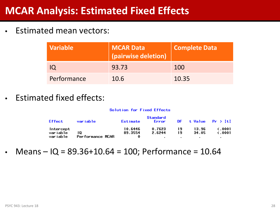### **MCAR Analysis: Estimated Fixed Effects**

• Estimated mean vectors:

| <b>Variable</b> | <b>MCAR Data</b><br>(pairwise deletion) | <b>Complete Data</b> |
|-----------------|-----------------------------------------|----------------------|
|                 | 93.73                                   | 100                  |
| Performance     | 10.6                                    | 10.35                |

• Estimated fixed effects:

#### Solution for Fixed Effects

| <b>Effect</b>         | variable         | Estimate           | Standard<br>Error |          | DF t Value $Pr$ >  t |                                |
|-----------------------|------------------|--------------------|-------------------|----------|----------------------|--------------------------------|
| Intercept<br>variable | 10               | 10.6446<br>89.3554 | 0.7623<br>2.6244  | 19<br>19 | 13.96<br>34.05       | $\zeta$ .0001<br>$\zeta$ .0001 |
| variable              | Performance MCAR |                    |                   |          |                      |                                |

• Means  $-$  IQ = 89.36+10.64 = 100; Performance = 10.64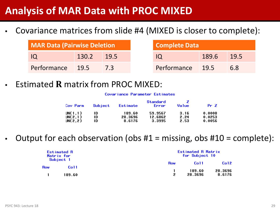### **Analysis of MAR Data with PROC MIXED**

• Covariance matrices from slide #4 (MIXED is closer to complete):

| MAR Data (Pairwise Deletion |       | Complete Data |                  |          |      |
|-----------------------------|-------|---------------|------------------|----------|------|
| - IO                        | 130.2 | 19.5          |                  | $-189.6$ | 19.5 |
| Performance 19.5            |       |               | Performance 19.5 |          | 6.8  |

**Estimated R matrix from PROC MIXED:** 

#### Covariance Parameter Estimates

| Cov Parm | Subject | Estimate | Standard<br>Error | Value | $Pr$ Z |
|----------|---------|----------|-------------------|-------|--------|
| UN(1,1)  | ID      | 189.60   | 59.9567           | 3.16  | 0.0008 |
| JN(2,1)  | ID      | 28.3696  | 12.6862           | 2.24  | 0.0253 |
| JN(2,2)  | ID      | 8.6176   | 3.3995            | 2.53  | 0.0056 |

Output for each observation (obs  $#1 =$  missing, obs  $#10 =$  complete):

| <b>Estimated R</b><br>Matrix for<br>Subject 1 |                |            | <b>Estimated R Matrix</b><br>for Subject 10 |                   |  |
|-----------------------------------------------|----------------|------------|---------------------------------------------|-------------------|--|
|                                               |                | <b>Row</b> | Co <sub>11</sub>                            | Co <sub>12</sub>  |  |
| <b>Row</b>                                    | Co11<br>189.60 |            | 189.60<br>28.3696                           | 28.3696<br>8.6176 |  |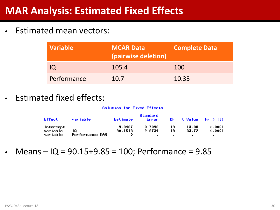### **MAR Analysis: Estimated Fixed Effects**

• Estimated mean vectors:

| <b>Variable</b> | <b>MCAR Data</b><br>(pairwise deletion) | <b>Complete Data</b> |
|-----------------|-----------------------------------------|----------------------|
|                 | 105.4                                   | 100                  |
| Performance     | 10.7                                    | 10.35                |

• Estimated fixed effects:

#### Solution for Fixed Effects

| Effect    | variable        | Estimate | Standard<br>Error |    |       | $DF$ t Value $Pr$ > $It$ |
|-----------|-----------------|----------|-------------------|----|-------|--------------------------|
| Intercept |                 | 9.8487   | 0.7098            | 19 | 13.88 | $\zeta$ .0001            |
| variable  | 10              | 90.1513  | 2.6734            | 19 | 33.72 | $\zeta$ .0001            |
| variable  | Performance MAR | 0        |                   |    |       |                          |

• Means  $-$  IQ = 90.15+9.85 = 100; Performance = 9.85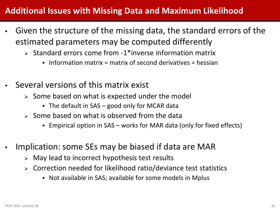### **Additional Issues with Missing Data and Maximum Likelihood**

- Given the structure of the missing data, the standard errors of the estimated parameters may be computed differently
	- $\triangleright$  Standard errors come from -1\*inverse information matrix
		- $\bullet$  Information matrix = matrix of second derivatives = hessian
- Several versions of this matrix exist
	- $\triangleright$  Some based on what is expected under the model
		- $\bullet$  The default in SAS good only for MCAR data
	- $\triangleright$  Some based on what is observed from the data
		- Empirical option in SAS works for MAR data (only for fixed effects)
- Implication: some SEs may be biased if data are MAR
	- $\triangleright$  May lead to incorrect hypothesis test results
	- Correction needed for likelihood ratio/deviance test statistics
		- Not available in SAS; available for some models in Mplus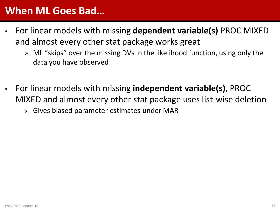### **When ML Goes Bad…**

- For linear models with missing **dependent variable(s)** PROC MIXED and almost every other stat package works great
	- $\triangleright$  ML "skips" over the missing DVs in the likelihood function, using only the data you have observed
- For linear models with missing **independent variable(s)**, PROC MIXED and almost every other stat package uses list-wise deletion
	- Gives biased parameter estimates under MAR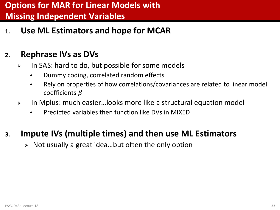### **Options for MAR for Linear Models with Missing Independent Variables**

**1. Use ML Estimators and hope for MCAR**

### **2. Rephrase IVs as DVs**

- $\triangleright$  In SAS: hard to do, but possible for some models
	- Dummy coding, correlated random effects
	- Rely on properties of how correlations/covariances are related to linear model coefficients  $\beta$
- In Mplus: much easier…looks more like a structural equation model
	- Predicted variables then function like DVs in MIXED

### **3. Impute IVs (multiple times) and then use ML Estimators**

 $\triangleright$  Not usually a great idea...but often the only option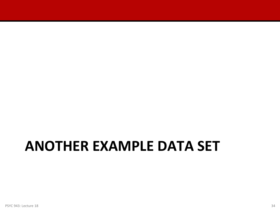# **ANOTHER EXAMPLE DATA SET**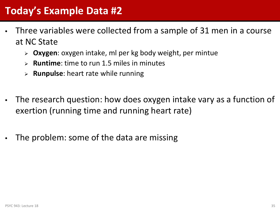- Three variables were collected from a sample of 31 men in a course at NC State
	- **Oxygen**: oxygen intake, ml per kg body weight, per mintue
	- **Runtime**: time to run 1.5 miles in minutes
	- **Runpulse**: heart rate while running
- The research question: how does oxygen intake vary as a function of exertion (running time and running heart rate)
- The problem: some of the data are missing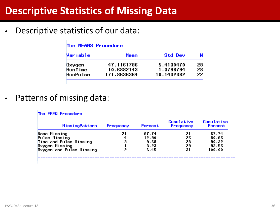### **Descriptive Statistics of Missing Data**

• Descriptive statistics of our data:

### The MEANS Procedure

| Var i ab l e   | Mean        | Std Dev    | N  |
|----------------|-------------|------------|----|
| Oxygen         | 47.1161786  | 5.4130470  | 28 |
| <b>RunTime</b> | 10.6882143  | 1.3798794  | 28 |
| RunPulse       | 171.8636364 | 10.1432382 | 22 |

• Patterns of missing data:

#### The FREQ Procedure

| <b>MissingPattern</b>    | Frequency | Percent | <b>Cumulative</b><br>Frequency | Cumulative<br>Percent |
|--------------------------|-----------|---------|--------------------------------|-----------------------|
| None Missing             | 21        | 67.74   | 21                             | 67.74                 |
| Pulse Missing            | 4         | 12.90   | 25                             | 80.65                 |
| Time and Pulse Missing   | 3         | 9.68    | 28                             | 90.32                 |
| Oxygen Missing           |           | 3.23    | 29                             | 93.55                 |
| Oxygen and Pulse Missing | 2         | 6.45    | 31                             | 100.00                |
|                          |           |         |                                |                       |

--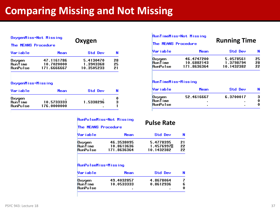## **Comparing Missing and Not Missing**

|                                             | OxygenMiss=Not Missing                  | Oxygen                               |                |  |
|---------------------------------------------|-----------------------------------------|--------------------------------------|----------------|--|
| The MEANS Procedure                         |                                         |                                      |                |  |
| Variable                                    | Mean                                    | <b>Std Dev</b>                       | N              |  |
| Oxygen<br><b>RunTime</b><br><b>RunPulse</b> | 47.1161786<br>10.7020000<br>171.6666667 | 5.4130470<br>1.3943368<br>10.3505233 | 28<br>25<br>21 |  |
|                                             |                                         |                                      |                |  |

### OxygenMiss=Missing

| Variable                                    | Mean                      | <b>Std Dev</b> | N      |
|---------------------------------------------|---------------------------|----------------|--------|
| Oxygen<br><b>RunTime</b><br><b>RunPulse</b> | 10.5733333<br>176.0000000 | 1.5338296      | 0<br>з |

### **RunPulseMiss=Not Missing**

#### The MEANS Procedure

### **Pulse Rate**

| Variable | Mean        | <b>Std Dev</b> |    |
|----------|-------------|----------------|----|
| Oxygen   | 46.3538095  | 5.4778395      | 21 |
| Run Time | 10.8613636  | 1.4576997      | 22 |
| RunPulse | 171.8636364 | 10.1432382     | 22 |

#### RunPulseMiss=Missing

| Var i ab le     | Mean       | <b>Std Dev</b> | N |
|-----------------|------------|----------------|---|
| Oxygen          | 49.4032857 | 4.8678064      |   |
| <b>RunTime</b>  | 10.0533333 | 0.8612936      |   |
| <b>RunPulse</b> | ٠          | ٠              |   |

| PSYC 943: Lecture 18 |  |
|----------------------|--|
|                      |  |

| Oxygen                               |                |                                             | <b>RunTimeMiss=Not Missing</b><br><b>The MEANS Procedure</b> | <b>Running Time</b>                  |                |
|--------------------------------------|----------------|---------------------------------------------|--------------------------------------------------------------|--------------------------------------|----------------|
| <b>Std Dev</b>                       | N              | Var i ab le                                 | Mean                                                         | Std Dev                              |                |
| 5.4130470<br>1.3943368<br>10.3505233 | 28<br>25<br>21 | Oxygen<br><b>RunTime</b><br><b>RunPulse</b> | 46.4747200<br>10.6882143<br>171.8636364                      | 5.0578561<br>1.3798794<br>10.1432382 | 25<br>28<br>22 |

### RunTimeMiss=Missing

| Variable        | Mean       | <b>Std Dev</b> | N  |
|-----------------|------------|----------------|----|
| Oxygen          | 52.4616667 | 6.3700017      | 3  |
| <b>RunTime</b>  | ٠          |                | 0. |
| <b>RunPulse</b> | ٠          |                | 0  |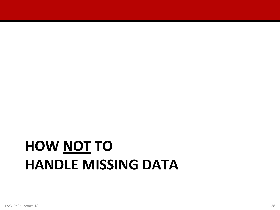# **HOW NOT TO HANDLE MISSING DATA**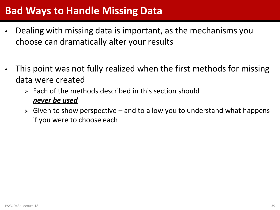## **Bad Ways to Handle Missing Data**

- Dealing with missing data is important, as the mechanisms you choose can dramatically alter your results
- This point was not fully realized when the first methods for missing data were created
	- $\triangleright$  Each of the methods described in this section should *never be used*
	- $\triangleright$  Given to show perspective and to allow you to understand what happens if you were to choose each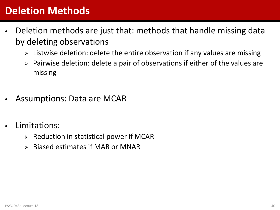## **Deletion Methods**

- Deletion methods are just that: methods that handle missing data by deleting observations
	- $\triangleright$  Listwise deletion: delete the entire observation if any values are missing
	- $\triangleright$  Pairwise deletion: delete a pair of observations if either of the values are missing
- Assumptions: Data are MCAR
- Limitations:
	- $\triangleright$  Reduction in statistical power if MCAR
	- Biased estimates if MAR or MNAR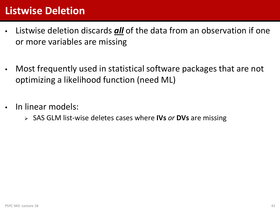## **Listwise Deletion**

- Listwise deletion discards *all* of the data from an observation if one or more variables are missing
- Most frequently used in statistical software packages that are not optimizing a likelihood function (need ML)
- In linear models:
	- SAS GLM list-wise deletes cases where **IVs** *or* **DVs** are missing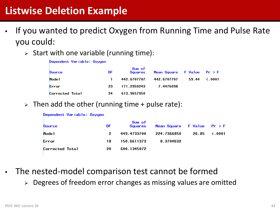## **Listwise Deletion Example**

- If you wanted to predict Oxygen from Running Time and Pulse Rate you could:
	- $\triangleright$  Start with one variable (running time):

| Dependent Variable: Oxygen |     |                   |                                                        |       |               |
|----------------------------|-----|-------------------|--------------------------------------------------------|-------|---------------|
| Source                     | DF. | Sum of<br>Squares | Mean Square $\quad$ F Value $\quad$ Pr $\rightarrow$ F |       |               |
| Mode 1                     |     | 442.6707707       | 442.6707707                                            | 59.44 | $\zeta$ .0001 |
| Error                      | 23  | 171.2950243       | 7.4476098                                              |       |               |
| Corrected Total            | 24  | 613.9657950       |                                                        |       |               |

 $\triangleright$  Then add the other (running time + pulse rate):

| Dependent Variable: Oxygen |    |                   |                                                        |       |               |  |  |
|----------------------------|----|-------------------|--------------------------------------------------------|-------|---------------|--|--|
| Source                     | DF | Sum of<br>Squares | Mean Square $\quad$ F Value $\quad$ Pr $\rightarrow$ F |       |               |  |  |
| Mode 1                     | 2  | 449.4733700       | 224.7366850                                            | 26.85 | $\zeta$ .0001 |  |  |
| Error                      | 18 | 150.6611373       | 8.3700632                                              |       |               |  |  |
| Corrected Total            | 20 | 600.1345072       |                                                        |       |               |  |  |

- The nested-model comparison test cannot be formed
	- > Degrees of freedom error changes as missing values are omitted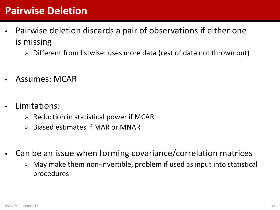## **Pairwise Deletion**

- Pairwise deletion discards a pair of observations if either one is missing
	- > Different from listwise: uses more data (rest of data not thrown out)
- Assumes: MCAR
- Limitations:
	- $\triangleright$  Reduction in statistical power if MCAR
	- Biased estimates if MAR or MNAR
- Can be an issue when forming covariance/correlation matrices
	- $\triangleright$  May make them non-invertible, problem if used as input into statistical procedures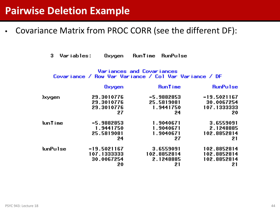• Covariance Matrix from PROC CORR (see the different DF):

Variables: Oxygen RunTime RunPulse 3.

### Variances and Covariances Covariance / Row Var Variance / Col Var Variance / DF

|                 | Oxygen       | <b>RunTime</b> | <b>RunPulse</b> |
|-----------------|--------------|----------------|-----------------|
| <b>Jxygen</b>   | 29.3010776   | -5.9882853     | $-19.5021167$   |
|                 | 29.3010776   | 25.5819081     | 30.0067254      |
|                 | 29.3010776   | 1.9441750      | 107.1333333     |
|                 | 27           | 24             | 20              |
| <b>RunTime</b>  | $-5.9882853$ | 1.9040671      | 3.6559091       |
|                 | 1.9441750    | 1.9040671      | 2.1248885       |
|                 | 25.5819081   | 1.9040671      | 102.8852814     |
|                 | 24           | 27             | 21              |
| <b>RunPulse</b> | -19.5021167  | 3.6559091      | 102.8852814     |
|                 | 107.1333333  | 102.8852814    | 102.8852814     |
|                 | 30.0067254   | 2.1248885      | 102.8852814     |
|                 | 20           | 21             | 21              |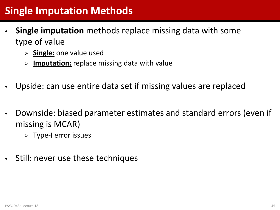## **Single Imputation Methods**

- **Single imputation** methods replace missing data with some type of value
	- **Single:** one value used
	- **Imputation:** replace missing data with value
- Upside: can use entire data set if missing values are replaced
- Downside: biased parameter estimates and standard errors (even if missing is MCAR)
	- $\triangleright$  Type-I error issues
- Still: never use these techniques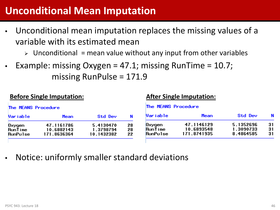## **Unconditional Mean Imputation**

- Unconditional mean imputation replaces the missing values of a variable with its estimated mean
	- $\triangleright$  Unconditional = mean value without any input from other variables
- Example: missing Oxygen =  $47.1$ ; missing RunTime =  $10.7$ ; missing RunPulse = 171.9

### **Before Single Imputation: After Single Imputation:**

| The MEANS Procedure                         |                                         |                                      |                | The MEANS Procedure                         |                                         |                                     |                |
|---------------------------------------------|-----------------------------------------|--------------------------------------|----------------|---------------------------------------------|-----------------------------------------|-------------------------------------|----------------|
| Var i ab l e                                | Mean                                    | Std Dev                              | N              | Var i ab l e                                | Mean                                    | Std Dev                             |                |
| Oxygen<br><b>RunTime</b><br><b>RunPulse</b> | 47.1161786<br>10.6882143<br>171.8636364 | 5.4130470<br>1.3798794<br>10.1432382 | 28<br>28<br>22 | Oxygen<br><b>RunTime</b><br><b>RunPulse</b> | 47.1146129<br>10.6893548<br>171.8741935 | 5.1352696<br>1.3090733<br>8.4864585 | 31<br>31<br>31 |

• Notice: uniformly smaller standard deviations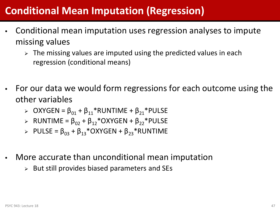## **Conditional Mean Imputation (Regression)**

- Conditional mean imputation uses regression analyses to impute missing values
	- $\triangleright$  The missing values are imputed using the predicted values in each regression (conditional means)
- For our data we would form regressions for each outcome using the other variables
	- $\triangleright$  OXYGEN =  $\beta_{01}$  +  $\beta_{11}$ <sup>\*</sup>RUNTIME +  $\beta_{21}$ <sup>\*</sup>PULSE
	- $\triangleright$  RUNTIME =  $\beta_{02}$  +  $\beta_{12}$ \*OXYGEN +  $\beta_{22}$ \*PULSE
	- $\triangleright$  PULSE =  $\beta_{03}$  +  $\beta_{13}$ \*OXYGEN +  $\beta_{23}$ \*RUNTIME
- More accurate than unconditional mean imputation
	- $\triangleright$  But still provides biased parameters and SEs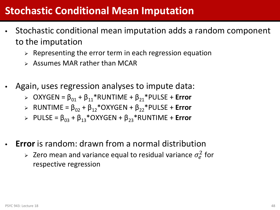## **Stochastic Conditional Mean Imputation**

- Stochastic conditional mean imputation adds a random component to the imputation
	- $\triangleright$  Representing the error term in each regression equation
	- $\triangleright$  Assumes MAR rather than MCAR
- Again, uses regression analyses to impute data:
	- $\triangleright$  OXYGEN =  $\beta_{01}$  +  $\beta_{11}$ <sup>\*</sup>RUNTIME +  $\beta_{21}$ <sup>\*</sup>PULSE + **Error**
	- $\triangleright$  RUNTIME =  $\beta_{02}$  +  $\beta_{12}$ <sup>\*</sup>OXYGEN +  $\beta_{22}$ <sup>\*</sup>PULSE + **Error**
	- $\triangleright$  PULSE =  $\beta_{03}$  +  $\beta_{13}$ <sup>\*</sup>OXYGEN +  $\beta_{23}$ <sup>\*</sup>RUNTIME + **Error**
- **Error** is random: drawn from a normal distribution
	- $\triangleright$  Zero mean and variance equal to residual variance  $\sigma_e^2$  for respective regression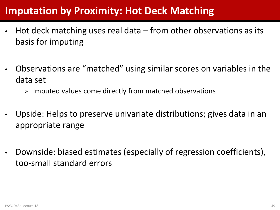## **Imputation by Proximity: Hot Deck Matching**

- Hot deck matching uses real data  $-$  from other observations as its basis for imputing
- Observations are "matched" using similar scores on variables in the data set
	- $\triangleright$  Imputed values come directly from matched observations
- Upside: Helps to preserve univariate distributions; gives data in an appropriate range
- Downside: biased estimates (especially of regression coefficients), too-small standard errors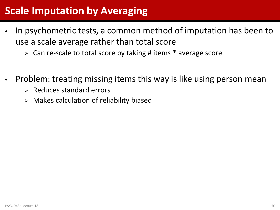## **Scale Imputation by Averaging**

- In psychometric tests, a common method of imputation has been to use a scale average rather than total score
	- $\triangleright$  Can re-scale to total score by taking # items  $*$  average score
- Problem: treating missing items this way is like using person mean
	- $\triangleright$  Reduces standard errors
	- $\triangleright$  Makes calculation of reliability biased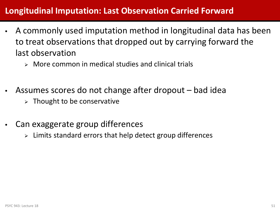### **Longitudinal Imputation: Last Observation Carried Forward**

- A commonly used imputation method in longitudinal data has been to treat observations that dropped out by carrying forward the last observation
	- $\triangleright$  More common in medical studies and clinical trials
- Assumes scores do not change after dropout bad idea
	- $\triangleright$  Thought to be conservative
- Can exaggerate group differences
	- $\triangleright$  Limits standard errors that help detect group differences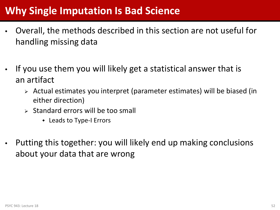## **Why Single Imputation Is Bad Science**

- Overall, the methods described in this section are not useful for handling missing data
- If you use them you will likely get a statistical answer that is an artifact
	- Actual estimates you interpret (parameter estimates) will be biased (in either direction)
	- $\triangleright$  Standard errors will be too small
		- ◆ Leads to Type-I Errors
- Putting this together: you will likely end up making conclusions about your data that are wrong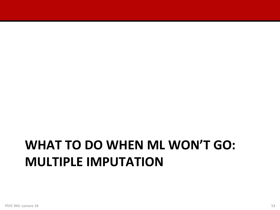## **WHAT TO DO WHEN ML WON'T GO: MULTIPLE IMPUTATION**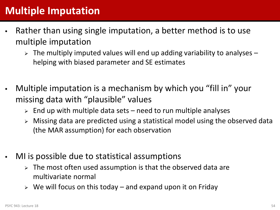## **Multiple Imputation**

- Rather than using single imputation, a better method is to use multiple imputation
	- $\triangleright$  The multiply imputed values will end up adding variability to analyses helping with biased parameter and SE estimates
- Multiple imputation is a mechanism by which you "fill in" your missing data with "plausible" values
	- $\triangleright$  End up with multiple data sets need to run multiple analyses
	- Missing data are predicted using a statistical model using the observed data (the MAR assumption) for each observation
- MI is possible due to statistical assumptions
	- $\triangleright$  The most often used assumption is that the observed data are multivariate normal
	- $\triangleright$  We will focus on this today and expand upon it on Friday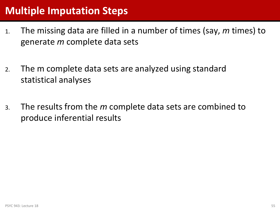## **Multiple Imputation Steps**

- 1. The missing data are filled in a number of times (say, *m* times) to generate *m* complete data sets
- 2. The m complete data sets are analyzed using standard statistical analyses
- 3. The results from the *m* complete data sets are combined to produce inferential results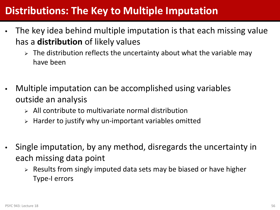## **Distributions: The Key to Multiple Imputation**

- The key idea behind multiple imputation is that each missing value has a **distribution** of likely values
	- $\triangleright$  The distribution reflects the uncertainty about what the variable may have been
- Multiple imputation can be accomplished using variables outside an analysis
	- $\triangleright$  All contribute to multivariate normal distribution
	- $\triangleright$  Harder to justify why un-important variables omitted
- Single imputation, by any method, disregards the uncertainty in each missing data point
	- $\triangleright$  Results from singly imputed data sets may be biased or have higher Type-I errors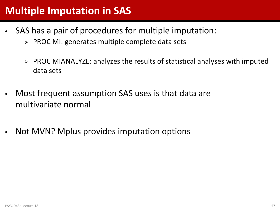## **Multiple Imputation in SAS**

- SAS has a pair of procedures for multiple imputation:
	- $\triangleright$  PROC MI: generates multiple complete data sets
	- $\triangleright$  PROC MIANALYZE: analyzes the results of statistical analyses with imputed data sets
- Most frequent assumption SAS uses is that data are multivariate normal
- Not MVN? Mplus provides imputation options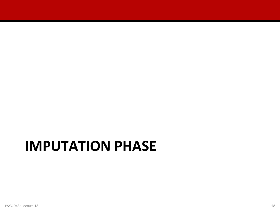## **IMPUTATION PHASE**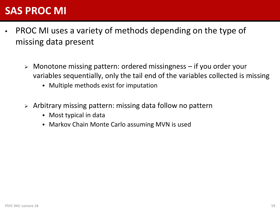## **SAS PROC MI**

- PROC MI uses a variety of methods depending on the type of missing data present
	- Monotone missing pattern: ordered missingness if you order your variables sequentially, only the tail end of the variables collected is missing
		- Multiple methods exist for imputation
	- $\triangleright$  Arbitrary missing pattern: missing data follow no pattern
		- Most typical in data
		- Markov Chain Monte Carlo assuming MVN is used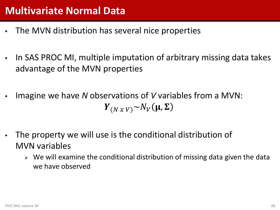- The MVN distribution has several nice properties
- In SAS PROC MI, multiple imputation of arbitrary missing data takes advantage of the MVN properties
- Imagine we have *N* observations of *V* variables from a MVN:  $Y_{(N \times V)} \sim N_V(\mu, \Sigma)$
- The property we will use is the conditional distribution of MVN variables
	- $\triangleright$  We will examine the conditional distribution of missing data given the data we have observed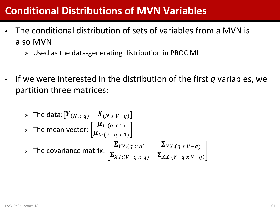## **Conditional Distributions of MVN Variables**

- The conditional distribution of sets of variables from a MVN is also MVN
	- Used as the data-generating distribution in PROC MI
- If we were interested in the distribution of the first *q* variables, we partition three matrices:

▶ The data: 
$$
[Y_{(N \, x \, q)} \ X_{(N \, x \, V-q)}]
$$

\n▶ The mean vector:  $\left[ \mu_{Y:(q \, x \, 1)} \mu_{X:(V-q \, x \, 1)} \right]$ 

\n▶ The covariance matrix:  $\left[ \sum_{XY:(q \, x \, q)} \sum_{YX:(q \, x \, V-q)} \sum_{XX:(V-q \, x \, V-q)} \right]$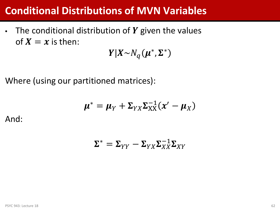## **Conditional Distributions of MVN Variables**

• The conditional distribution of  $Y$  given the values of  $X = x$  is then:

 $Y|X \sim N_q(\boldsymbol{\mu}^*, \boldsymbol{\Sigma}^*)$ 

Where (using our partitioned matrices):

$$
\boldsymbol{\mu}^* = \boldsymbol{\mu}_Y + \boldsymbol{\Sigma}_{YX} \boldsymbol{\Sigma}_{XX}^{-1} (\boldsymbol{x}' - \boldsymbol{\mu}_X)
$$

And:

$$
\Sigma^* = \Sigma_{YY} - \Sigma_{YX} \Sigma_{XX}^{-1} \Sigma_{XY}
$$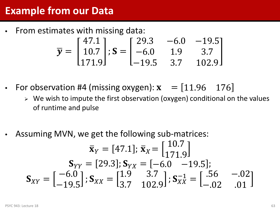## **Example from our Data**

• From estimates with missing data:

$$
\overline{\mathbf{y}} = \begin{bmatrix} 47.1 \\ 10.7 \\ 171.9 \end{bmatrix}; \mathbf{S} = \begin{bmatrix} 29.3 & -6.0 & -19.5 \\ -6.0 & 1.9 & 3.7 \\ -19.5 & 3.7 & 102.9 \end{bmatrix}
$$

- For observation #4 (missing oxygen):  $x = [11.96 \ 176]$ 
	- $\triangleright$  We wish to impute the first observation (oxygen) conditional on the values of runtime and pulse
- Assuming MVN, we get the following sub-matrices:

$$
\bar{\mathbf{x}}_{Y} = [47.1]; \ \bar{\mathbf{x}}_{X} = \begin{bmatrix} 10.7 \\ 171.9 \end{bmatrix}
$$

$$
\mathbf{S}_{YY} = [29.3]; \ \mathbf{S}_{YX} = [-6.0 \quad -19.5];
$$

$$
\mathbf{S}_{XY} = \begin{bmatrix} -6.0 \\ -19.5 \end{bmatrix}; \ \mathbf{S}_{XX} = \begin{bmatrix} 1.9 & 3.7 \\ 3.7 & 102.9 \end{bmatrix}; \ \mathbf{S}_{XX}^{-1} = \begin{bmatrix} 0.56 & -0.02 \\ -0.02 & 0.01 \end{bmatrix}
$$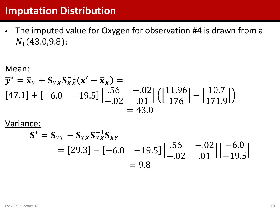### **Imputation Distribution**

• The imputed value for Oxygen for observation #4 is drawn from a  $N_1$ (43.0,9.8):

$$
\frac{\text{Mean:}}{\overline{y}^* = \overline{x}_Y + \mathbf{S}_{YX}\mathbf{S}_{XX}^{-1}(\mathbf{x}' - \overline{\mathbf{x}}_X) =
$$
\n
$$
[47.1] + [-6.0 \quad -19.5] \begin{bmatrix} .56 & -0.02 \\ -0.02 & 0.01 \end{bmatrix} \begin{bmatrix} 11.96 \\ 176 \end{bmatrix} - \begin{bmatrix} 10.7 \\ 171.9 \end{bmatrix}
$$
\n
$$
= 43.0
$$

Variance:

$$
\mathbf{S}^* = \mathbf{S}_{YY} - \mathbf{S}_{YX}\mathbf{S}_{XX}^{-1}\mathbf{S}_{XY}
$$
  
= [29.3] - [-6.0 -19.5]  $\begin{bmatrix} .56 & -.02 \\ -.02 & .01 \end{bmatrix} \begin{bmatrix} -6.0 \\ -19.5 \end{bmatrix}$   
= 9.8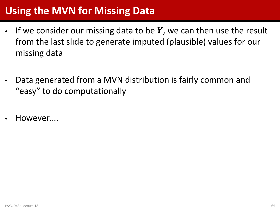## **Using the MVN for Missing Data**

- If we consider our missing data to be  $Y$ , we can then use the result from the last slide to generate imputed (plausible) values for our missing data
- Data generated from a MVN distribution is fairly common and "easy" to do computationally
- However….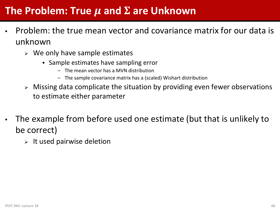## The Problem: True  $\mu$  and  $\Sigma$  are Unknown

- Problem: the true mean vector and covariance matrix for our data is unknown
	- $\triangleright$  We only have sample estimates
		- Sample estimates have sampling error
			- The mean vector has a MVN distribution
			- The sample covariance matrix has a (scaled) Wishart distribution
	- $\triangleright$  Missing data complicate the situation by providing even fewer observations to estimate either parameter
- The example from before used one estimate (but that is unlikely to be correct)
	- $\triangleright$  It used pairwise deletion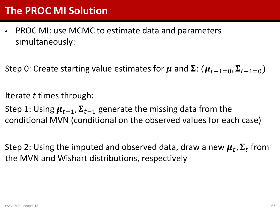## **The PROC MI Solution**

• PROC MI: use MCMC to estimate data and parameters simultaneously:

Step 0: Create starting value estimates for  $\mu$  and  $\Sigma: (\mu_{t-1=0}, \Sigma_{t-1=0})$ 

Iterate *t* times through:

Step 1: Using  $\mu_{t-1}$ ,  $\Sigma_{t-1}$  generate the missing data from the conditional MVN (conditional on the observed values for each case)

Step 2: Using the imputed and observed data, draw a new  $\mu_t$ ,  $\Sigma_t$  from the MVN and Wishart distributions, respectively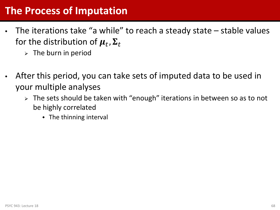## **The Process of Imputation**

- The iterations take "a while" to reach a steady state stable values for the distribution of  $\boldsymbol{\mu}_t$ ,  $\boldsymbol{\Sigma}_t$ 
	- $\triangleright$  The burn in period
- After this period, you can take sets of imputed data to be used in your multiple analyses
	- $\triangleright$  The sets should be taken with "enough" iterations in between so as to not be highly correlated
		- $\bullet$  The thinning interval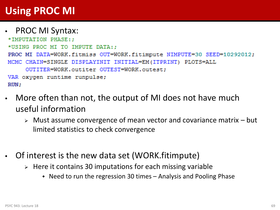## **Using PROC MI**

### • PROC MI Syntax:

```
*IMPUTATION PHASE::
*USING PROC MI TO IMPUTE DATA::
PROC MI DATA=WORK.fitmiss OUT=WORK.fitimpute NIMPUTE=30 SEED=10292012;
MCMC CHAIN=SINGLE DISPLAYINIT INITIAL=EM (ITPRINT) PLOTS=ALL
     OUTITER=WORK.outiter OUTEST=WORK.outest:
VAR oxygen runtime runpulse;
RUN:
```
- More often than not, the output of MI does not have much useful information
	- $\triangleright$  Must assume convergence of mean vector and covariance matrix  $-$  but limited statistics to check convergence
- Of interest is the new data set (WORK.fitimpute)
	- $\triangleright$  Here it contains 30 imputations for each missing variable
		- Need to run the regression 30 times Analysis and Pooling Phase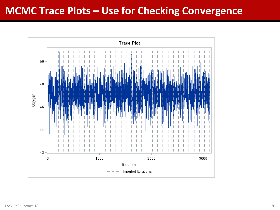## **MCMC Trace Plots – Use for Checking Convergence**

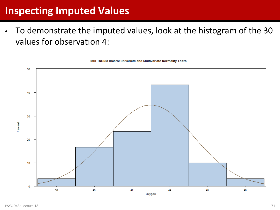## **Inspecting Imputed Values**

• To demonstrate the imputed values, look at the histogram of the 30 values for observation 4:



MULTNORM macro: Univariate and Multivariate Normality Tests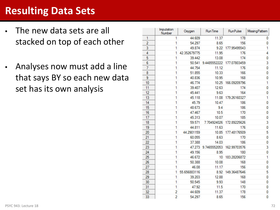## **Resulting Data Sets**

- The new data sets are all stacked on top of each other
- Analyses now must add a line that says BY so each new data set has its own analysis

|                | Imputation<br>Number | Oxygen       | <b>RunTime</b>      | <b>RunPulse</b> | <b>MissingPattem</b> |
|----------------|----------------------|--------------|---------------------|-----------------|----------------------|
| 1              | 1                    | 44.609       | 11.37               | 178             | 0                    |
| $\overline{2}$ | 1                    | 54.297       | 8.65                | 156             | 0                    |
| 3              | 1                    | 49.874       | 9.22                | 177.95495543    | 1                    |
| 4              | 1                    | 42.352679775 | 11.95               | 176             | 4                    |
| 5              | 1                    | 39.442       | 13.08               | 174             | 0                    |
| 6              | 1                    | 50.541       | 9.4485552222        | 177.07803459    | 3                    |
| 7              | 1                    | 44.754       | 11.12               | 176             | 0                    |
| 8              | 1                    | 51.855       | 10.33               | 166             | 0                    |
| 9              | 1                    | 40.836       | 10.95               | 168             | 0                    |
| 10             | 1                    | 46.774       | 10.25               | 166.09209796    | 1                    |
| 11             | 1                    | 39.407       | 12.63               | 174             | 0                    |
| 12             | 1                    | 45.441       | 9.63                | 164             | 0                    |
| 13             | 1                    | 45.118       | 11.08               | 179.26160327    | 1                    |
| 14             | 1                    | 45.79        | 10.47               | 186             | 0                    |
| 15             | 1                    | 48.673       | 9.4                 | 186             | 0                    |
| 16             | 1                    | 47.467       | 10.5                | 170             | 0                    |
| 17             | 1                    | 45.313       | 10.07               | 185             | 0                    |
| 18             | 1                    | 59.571       | 7.704924026         | 172.89225626    | 3                    |
| 19             | 1                    | 44.811       | 11.63               | 176             | 0                    |
| 20             | 1                    | 44.2901159   | 10.85               | 177.48176509    | 5                    |
| 21             | 1                    | 60.055       | 8.63                | 170             | 0                    |
| 22             | 1                    | 37.388       | 14.03               | 186             | 0                    |
| 23             | 1                    |              | 47.273 9.7465552053 | 162.99703576    | 3                    |
| 24             | 1                    | 49.156       | 8.95                | 180             | 0                    |
| 25             | 1                    | 46.672       | 10                  | 183.28206872    | 1                    |
| 26             | 1                    | 50.388       | 10.08               | 168             | 0                    |
| 27             | 1                    | 46.08        | 11.17               | 156             | 0                    |
| 28             | 1                    | 55.656883116 | 8.92                | 149.36487646    | 5                    |
| 29             | 1                    | 39.203       | 12.88               | 168             | 0                    |
| 30             | 1                    | 50.545       | 9.93                | 148             | 0                    |
| 31             | 1                    | 47.92        | 11.5                | 170             | 0                    |
| 32             | 2                    | 44.609       | 11.37               | 178             | 0                    |
| 33             | 2                    | 54.297       | 8.65                | 156             | 0                    |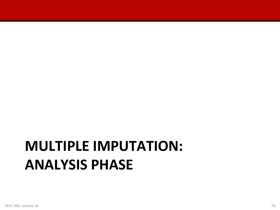# **MULTIPLE IMPUTATION: ANALYSIS PHASE**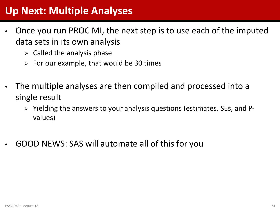## **Up Next: Multiple Analyses**

- Once you run PROC MI, the next step is to use each of the imputed data sets in its own analysis
	- $\triangleright$  Called the analysis phase
	- $\triangleright$  For our example, that would be 30 times
- The multiple analyses are then compiled and processed into a single result
	- $\triangleright$  Yielding the answers to your analysis questions (estimates, SEs, and Pvalues)
- GOOD NEWS: SAS will automate all of this for you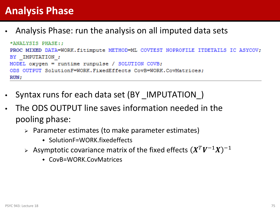## **Analysis Phase**

• Analysis Phase: run the analysis on all imputed data sets

```
*ANALYSIS PHASE::
PROC MIXED DATA=WORK.fitimpute METHOD=ML COVTEST NOPROFILE ITDETAILS IC ASYCOV;
BY IMPUTATION ;
MODEL oxygen = runtime runpulse / SOLUTION COVB;
ODS OUTPUT SolutionF=WORK. FixedEffects CovB=WORK. CovMatrices:
RUN:
```
- Syntax runs for each data set (BY IMPUTATION)
- The ODS OUTPUT line saves information needed in the pooling phase:
	- Parameter estimates (to make parameter estimates)
		- SolutionF=WORK.fixedeffects
	- Asymptotic covariance matrix of the fixed effects  $(X^T V^{-1} X)^{-1}$ 
		- CovB=WORK.CovMatrices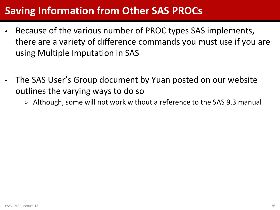## **Saving Information from Other SAS PROCs**

- Because of the various number of PROC types SAS implements, there are a variety of difference commands you must use if you are using Multiple Imputation in SAS
- The SAS User's Group document by Yuan posted on our website outlines the varying ways to do so
	- Although, some will not work without a reference to the SAS 9.3 manual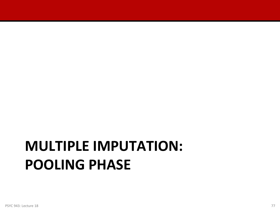# **MULTIPLE IMPUTATION: POOLING PHASE**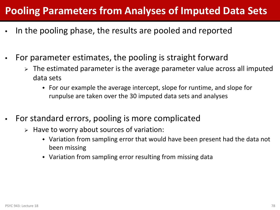## **Pooling Parameters from Analyses of Imputed Data Sets**

- In the pooling phase, the results are pooled and reported
- For parameter estimates, the pooling is straight forward
	- $\triangleright$  The estimated parameter is the average parameter value across all imputed data sets
		- For our example the average intercept, slope for runtime, and slope for runpulse are taken over the 30 imputed data sets and analyses
- For standard errors, pooling is more complicated
	- $\triangleright$  Have to worry about sources of variation:
		- Variation from sampling error that would have been present had the data not been missing
		- Variation from sampling error resulting from missing data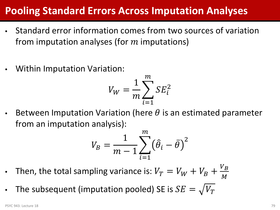## **Pooling Standard Errors Across Imputation Analyses**

- Standard error information comes from two sources of variation from imputation analyses (for  $m$  imputations)
- Within Imputation Variation:

$$
V_W = \frac{1}{m} \sum_{i=1}^{m} SE_i^2
$$

Between Imputation Variation (here  $\theta$  is an estimated parameter from an imputation analysis):

$$
V_B = \frac{1}{m-1} \sum_{i=1}^m \left(\hat{\theta}_i - \bar{\theta}\right)^2
$$

- Then, the total sampling variance is:  $V_T = V_W + V_B + \frac{V_B}{M}$
- The subsequent (imputation pooled) SE is  $SE = \sqrt{V_T}$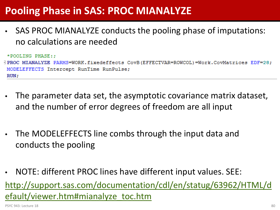## **Pooling Phase in SAS: PROC MIANALYZE**

SAS PROC MIANALYZE conducts the pooling phase of imputations: no calculations are needed

```
*POOLING PHASE::
[19] PROC MIANALYZE PARMS=WORK.fixedeffects CovB(EFFECTVAR=ROWCOL)=Work.CovMatrices EDF=28;
MODELEFFECTS Intercept RunTime RunPulse;
RUN:
```
- The parameter data set, the asymptotic covariance matrix dataset, and the number of error degrees of freedom are all input
- The MODELEFFECTS line combs through the input data and conducts the pooling
- NOTE: different PROC lines have different input values. SEE: [http://support.sas.com/documentation/cdl/en/statug/63962/HTML/d](http://support.sas.com/documentation/cdl/en/statug/63962/HTML/default/viewer.htm) [efault/viewer.htm#mianalyze\\_toc.htm](http://support.sas.com/documentation/cdl/en/statug/63962/HTML/default/viewer.htm)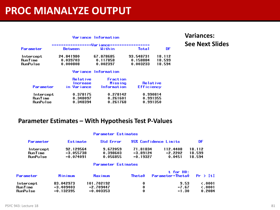### **PROC MIANALYZE OUTPUT**

|                                  |                                     | Variance Information                      |                                   |                            |
|----------------------------------|-------------------------------------|-------------------------------------------|-----------------------------------|----------------------------|
|                                  |                                     | .-------------Variance-----------------   |                                   |                            |
| Parameter                        | <b>Between</b>                      | Within                                    | <b>Total</b>                      | DF.                        |
| Intercept<br>RunTime<br>RunPulse | 24.841980<br>0.039703<br>0.000808   | 67.878685<br>0.117858<br>0.002397         | 93.548731<br>0.158884<br>0.003233 | 18.112<br>18.599<br>18.594 |
|                                  |                                     | Variance Information                      |                                   |                            |
| Parameter                        | Relative<br>Increase<br>in Variance | Fraction<br>Missing<br><b>Information</b> | Relative<br><b>Efficiency</b>     |                            |
| Intercept<br><b>RunTime</b>      | 0.378175<br>0.348097                | 0.278142<br>0.261601                      | 0.990814<br>0.991355              |                            |

### **Variances: See Next Slides**

### **Parameter Estimates – With Hypothesis Test P-Values**

0.348394

#### **Parameter Estimates**

0.261768

0.991350

| Parameter      | Estimate    | <b>Std Error</b> | 95% Confidence Limits |           | DF     |
|----------------|-------------|------------------|-----------------------|-----------|--------|
| Intercept      | 92.129564   | 9.672059         | 71.81834              | 112.4408  | 18.112 |
| <b>RunTime</b> | $-3.055738$ | 0.398603         | $-3.89124$            | $-2.2202$ | 18.599 |
| RunPulse       | $-0.074091$ | 0.056855         | $-0.19327$            | 0.0451    | 18.594 |

#### Parameter Estimates

| Parameter | Minimum     | Maximum     | Theta0 | t for HO:<br>Parameter=Theta0 | $Pr \rightarrow \{t\}$ |
|-----------|-------------|-------------|--------|-------------------------------|------------------------|
| Intercept | 83.042973   | 101.702192  | 0      | 9.53                          | $\zeta$ .0001          |
| RunTime   | $-3.409403$ | $-2.709447$ | 0      | $-7.67$                       | $\epsilon$ .0001       |
| RunPulse  | $-0.132395$ | $-0.003353$ | 0      | $-1.30$                       | 0.2084                 |

**RunPulse**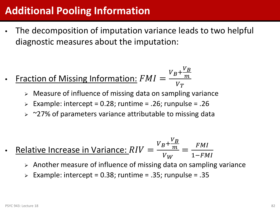## **Additional Pooling Information**

- The decomposition of imputation variance leads to two helpful diagnostic measures about the imputation:
- Fraction of Missing Information:  $FMI =$  $V_B$ +  $V_{B}$ <u>т</u>  $V_T$ 
	- Measure of influence of missing data on sampling variance
	- Example: intercept = 0.28; runtime = .26; runpulse = .26
	- $>$  ~27% of parameters variance attributable to missing data
- Relative Increase in Variance:  $RIV =$  $V_B$ +  $\frac{V}{B}$ <u>т</u>  $V_W$ = <u>F</u>  $1-F$ 
	- $\triangleright$  Another measure of influence of missing data on sampling variance
	- Example: intercept =  $0.38$ ; runtime =  $.35$ ; runpulse =  $.35$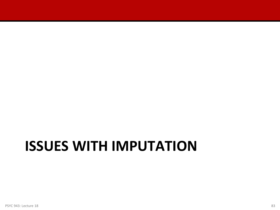## **ISSUES WITH IMPUTATION**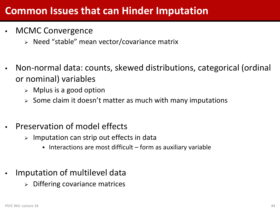- MCMC Convergence
	- $\triangleright$  Need "stable" mean vector/covariance matrix
- Non-normal data: counts, skewed distributions, categorical (ordinal or nominal) variables
	- $\triangleright$  Mplus is a good option
	- $\geq$  Some claim it doesn't matter as much with many imputations
- Preservation of model effects
	- $\triangleright$  Imputation can strip out effects in data
		- $\bullet$  Interactions are most difficult form as auxiliary variable
- Imputation of multilevel data
	- Differing covariance matrices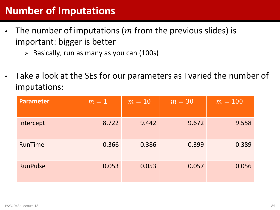## **Number of Imputations**

- The number of imputations ( $m$  from the previous slides) is important: bigger is better
	- $\triangleright$  Basically, run as many as you can (100s)
- Take a look at the SEs for our parameters as I varied the number of imputations:

| <b>Parameter</b> | $m=1$ | $m=10$ | $m = 30$ | $m = 100$ |
|------------------|-------|--------|----------|-----------|
| Intercept        | 8.722 | 9.442  | 9.672    | 9.558     |
| RunTime          | 0.366 | 0.386  | 0.399    | 0.389     |
| <b>RunPulse</b>  | 0.053 | 0.053  | 0.057    | 0.056     |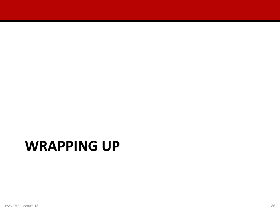## **WRAPPING UP**